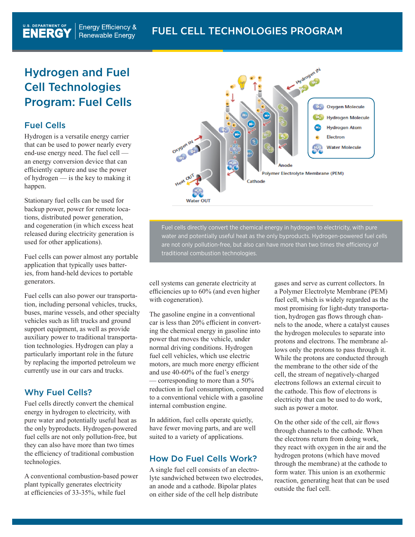# Hydrogen and Fuel Cell Technologies Program: Fuel Cells

## Fuel Cells

Hydrogen is a versatile energy carrier that can be used to power nearly every end-use energy need. The fuel cell an energy conversion device that can efficiently capture and use the power of hydrogen — is the key to making it happen.

Stationary fuel cells can be used for backup power, power for remote locations, distributed power generation, and cogeneration (in which excess heat released during electricity generation is used for other applications).

Fuel cells can power almost any portable application that typically uses batteries, from hand-held devices to portable generators.

Fuel cells can also power our transportation, including personal vehicles, trucks, buses, marine vessels, and other specialty vehicles such as lift trucks and ground support equipment, as well as provide auxiliary power to traditional transportation technologies. Hydrogen can play a particularly important role in the future by replacing the imported petroleum we currently use in our cars and trucks.

## Why Fuel Cells?

Fuel cells directly convert the chemical energy in hydrogen to electricity, with pure water and potentially useful heat as the only byproducts. Hydrogen-powered fuel cells are not only pollution-free, but they can also have more than two times the efficiency of traditional combustion technologies.

A conventional combustion-based power plant typically generates electricity at efficiencies of 33-35%, while fuel



Fuel cells directly convert the chemical energy in hydrogen to electricity, with pure water and potentially useful heat as the only byproducts. Hydrogen-powered fuel cells are not only pollution-free, but also can have more than two times the efficiency of traditional combustion technologies.

cell systems can generate electricity at efficiencies up to 60% (and even higher with cogeneration).

The gasoline engine in a conventional car is less than 20% efficient in converting the chemical energy in gasoline into power that moves the vehicle, under normal driving conditions. Hydrogen fuel cell vehicles, which use electric motors, are much more energy efficient and use 40-60% of the fuel's energy — corresponding to more than a 50% reduction in fuel consumption, compared to a conventional vehicle with a gasoline internal combustion engine.

In addition, fuel cells operate quietly, have fewer moving parts, and are well suited to a variety of applications.

## How Do Fuel Cells Work?

A single fuel cell consists of an electrolyte sandwiched between two electrodes, an anode and a cathode. Bipolar plates on either side of the cell help distribute

gases and serve as current collectors. In a Polymer Electrolyte Membrane (PEM) fuel cell, which is widely regarded as the most promising for light-duty transportation, hydrogen gas flows through channels to the anode, where a catalyst causes the hydrogen molecules to separate into protons and electrons. The membrane allows only the protons to pass through it. While the protons are conducted through the membrane to the other side of the cell, the stream of negatively-charged electrons follows an external circuit to the cathode. This flow of electrons is electricity that can be used to do work, such as power a motor.

On the other side of the cell, air flows through channels to the cathode. When the electrons return from doing work, they react with oxygen in the air and the hydrogen protons (which have moved through the membrane) at the cathode to form water. This union is an exothermic reaction, generating heat that can be used outside the fuel cell.